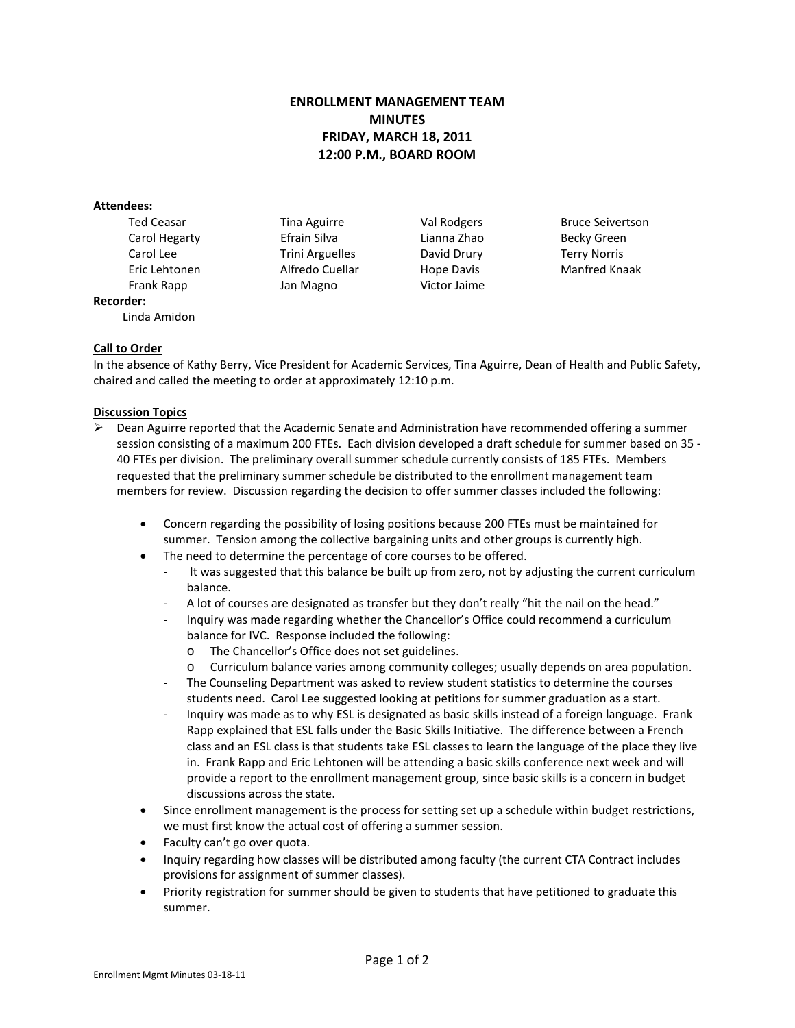# **ENROLLMENT MANAGEMENT TEAM MINUTES FRIDAY, MARCH 18, 2011 12:00 P.M., BOARD ROOM**

### **Attendees:**

Linda Amidon

Carol Hegarty Efrain Silva Lianna Zhao Becky Green Carol Lee Trini Arguelles David Drury Terry Norris Frank Rapp Jan Magno Victor Jaime

Ted Ceasar **Tina Aguirre** Val Rodgers Bruce Seivertson Eric Lehtonen Alfredo Cuellar Hope Davis Manfred Knaak

# **Call to Order**

**Recorder:**

In the absence of Kathy Berry, Vice President for Academic Services, Tina Aguirre, Dean of Health and Public Safety, chaired and called the meeting to order at approximately 12:10 p.m.

## **Discussion Topics**

- $\triangleright$  Dean Aguirre reported that the Academic Senate and Administration have recommended offering a summer session consisting of a maximum 200 FTEs. Each division developed a draft schedule for summer based on 35 - 40 FTEs per division. The preliminary overall summer schedule currently consists of 185 FTEs. Members requested that the preliminary summer schedule be distributed to the enrollment management team members for review. Discussion regarding the decision to offer summer classes included the following:
	- Concern regarding the possibility of losing positions because 200 FTEs must be maintained for summer. Tension among the collective bargaining units and other groups is currently high.
	- The need to determine the percentage of core courses to be offered.
		- It was suggested that this balance be built up from zero, not by adjusting the current curriculum balance.
		- A lot of courses are designated as transfer but they don't really "hit the nail on the head."
		- Inquiry was made regarding whether the Chancellor's Office could recommend a curriculum balance for IVC. Response included the following:
			- o The Chancellor's Office does not set guidelines.
			- o Curriculum balance varies among community colleges; usually depends on area population.
		- The Counseling Department was asked to review student statistics to determine the courses students need. Carol Lee suggested looking at petitions for summer graduation as a start.
		- Inquiry was made as to why ESL is designated as basic skills instead of a foreign language. Frank Rapp explained that ESL falls under the Basic Skills Initiative. The difference between a French class and an ESL class is that students take ESL classes to learn the language of the place they live in. Frank Rapp and Eric Lehtonen will be attending a basic skills conference next week and will provide a report to the enrollment management group, since basic skills is a concern in budget discussions across the state.
	- Since enrollment management is the process for setting set up a schedule within budget restrictions, we must first know the actual cost of offering a summer session.
	- Faculty can't go over quota.
	- Inquiry regarding how classes will be distributed among faculty (the current CTA Contract includes provisions for assignment of summer classes).
	- Priority registration for summer should be given to students that have petitioned to graduate this summer.